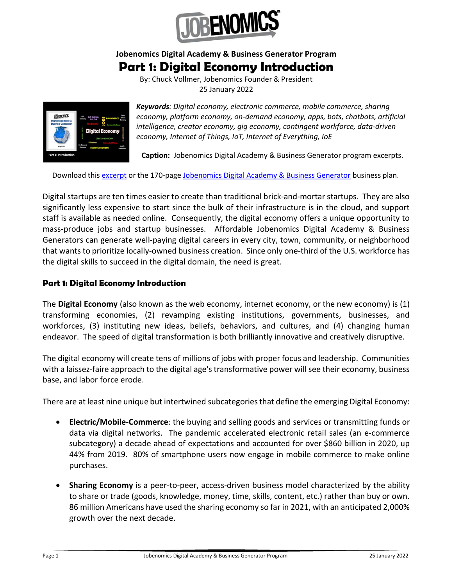

## Jobenomics Digital Academy & Business Generator Program

## Part 1: Digital Economy Introduction

By: Chuck Vollmer, Jobenomics Founder & President 25 January 2022



Keywords: Digital economy, electronic commerce, mobile commerce, sharing economy, platform economy, on-demand economy, apps, bots, chatbots, artificial intelligence, creator economy, gig economy, contingent workforce, data-driven economy, Internet of Things, IoT, Internet of Everything, IoE

Caption: Jobenomics Digital Academy & Business Generator program excerpts.

Download this excerpt or the 170-page Jobenomics Digital Academy & Business Generator business plan.

Digital startups are ten times easier to create than traditional brick-and-mortar startups. They are also significantly less expensive to start since the bulk of their infrastructure is in the cloud, and support staff is available as needed online. Consequently, the digital economy offers a unique opportunity to mass-produce jobs and startup businesses. Affordable Jobenomics Digital Academy & Business Generators can generate well-paying digital careers in every city, town, community, or neighborhood that wants to prioritize locally-owned business creation. Since only one-third of the U.S. workforce has the digital skills to succeed in the digital domain, the need is great.

## Part 1: Digital Economy Introduction

The Digital Economy (also known as the web economy, internet economy, or the new economy) is (1) transforming economies, (2) revamping existing institutions, governments, businesses, and workforces, (3) instituting new ideas, beliefs, behaviors, and cultures, and (4) changing human endeavor. The speed of digital transformation is both brilliantly innovative and creatively disruptive.

The digital economy will create tens of millions of jobs with proper focus and leadership. Communities with a laissez-faire approach to the digital age's transformative power will see their economy, business base, and labor force erode.

There are at least nine unique but intertwined subcategories that define the emerging Digital Economy:

- Electric/Mobile-Commerce: the buying and selling goods and services or transmitting funds or data via digital networks. The pandemic accelerated electronic retail sales (an e-commerce subcategory) a decade ahead of expectations and accounted for over \$860 billion in 2020, up 44% from 2019. 80% of smartphone users now engage in mobile commerce to make online purchases.
- Sharing Economy is a peer-to-peer, access-driven business model characterized by the ability to share or trade (goods, knowledge, money, time, skills, content, etc.) rather than buy or own. 86 million Americans have used the sharing economy so far in 2021, with an anticipated 2,000% growth over the next decade.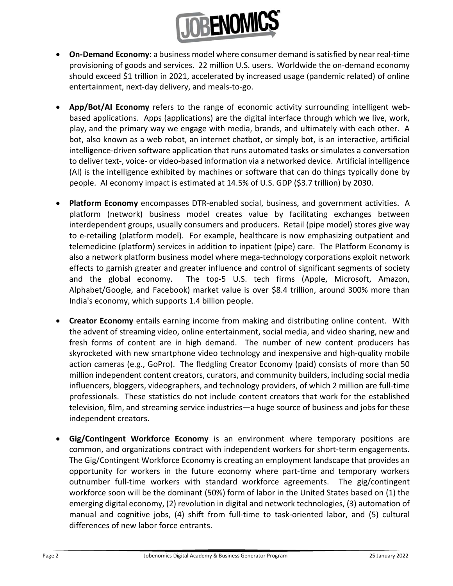

- On-Demand Economy: a business model where consumer demand is satisfied by near real-time provisioning of goods and services. 22 million U.S. users. Worldwide the on-demand economy should exceed \$1 trillion in 2021, accelerated by increased usage (pandemic related) of online entertainment, next-day delivery, and meals-to-go.
- App/Bot/AI Economy refers to the range of economic activity surrounding intelligent webbased applications. Apps (applications) are the digital interface through which we live, work, play, and the primary way we engage with media, brands, and ultimately with each other. A bot, also known as a web robot, an internet chatbot, or simply bot, is an interactive, artificial intelligence-driven software application that runs automated tasks or simulates a conversation to deliver text-, voice- or video-based information via a networked device. Artificial intelligence (AI) is the intelligence exhibited by machines or software that can do things typically done by people. AI economy impact is estimated at 14.5% of U.S. GDP (\$3.7 trillion) by 2030.
- Platform Economy encompasses DTR-enabled social, business, and government activities. A platform (network) business model creates value by facilitating exchanges between interdependent groups, usually consumers and producers. Retail (pipe model) stores give way to e-retailing (platform model). For example, healthcare is now emphasizing outpatient and telemedicine (platform) services in addition to inpatient (pipe) care. The Platform Economy is also a network platform business model where mega-technology corporations exploit network effects to garnish greater and greater influence and control of significant segments of society and the global economy. The top-5 U.S. tech firms (Apple, Microsoft, Amazon, Alphabet/Google, and Facebook) market value is over \$8.4 trillion, around 300% more than India's economy, which supports 1.4 billion people.
- Creator Economy entails earning income from making and distributing online content. With the advent of streaming video, online entertainment, social media, and video sharing, new and fresh forms of content are in high demand. The number of new content producers has skyrocketed with new smartphone video technology and inexpensive and high-quality mobile action cameras (e.g., GoPro). The fledgling Creator Economy (paid) consists of more than 50 million independent content creators, curators, and community builders, including social media influencers, bloggers, videographers, and technology providers, of which 2 million are full-time professionals. These statistics do not include content creators that work for the established television, film, and streaming service industries—a huge source of business and jobs for these independent creators.
- Gig/Contingent Workforce Economy is an environment where temporary positions are common, and organizations contract with independent workers for short-term engagements. The Gig/Contingent Workforce Economy is creating an employment landscape that provides an opportunity for workers in the future economy where part-time and temporary workers outnumber full-time workers with standard workforce agreements. The gig/contingent workforce soon will be the dominant (50%) form of labor in the United States based on (1) the emerging digital economy, (2) revolution in digital and network technologies, (3) automation of manual and cognitive jobs, (4) shift from full-time to task-oriented labor, and (5) cultural differences of new labor force entrants.